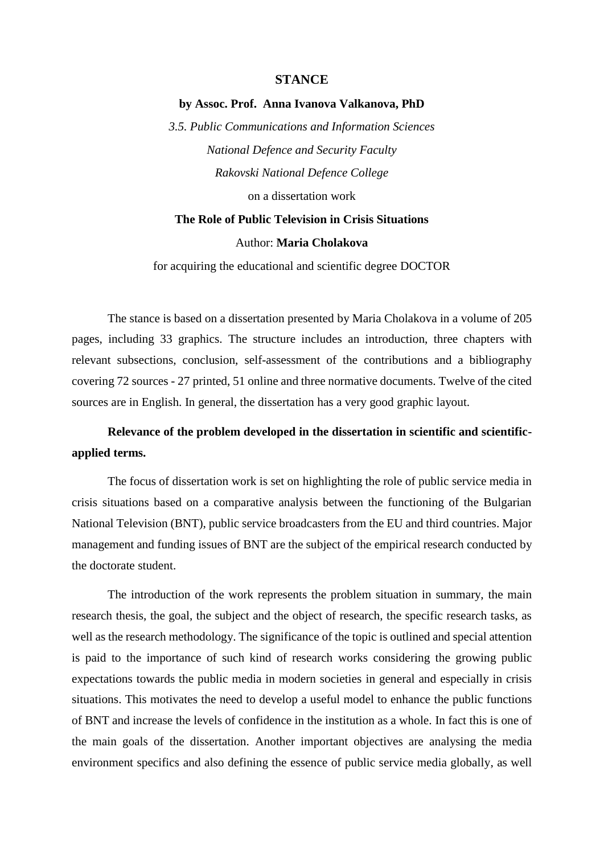### **STANCE**

### **by Assoc. Prof. Anna Ivanova Valkanova, PhD**

*3.5. Public Communications and Information Sciences National Defence and Security Faculty Rakovski National Defence College* on a dissertation work

## **The Role of Public Television in Crisis Situations**

## Author: **Maria Cholakova**

for acquiring the educational and scientific degree DOCTOR

The stance is based on a dissertation presented by Maria Cholakova in a volume of 205 pages, including 33 graphics. The structure includes an introduction, three chapters with relevant subsections, conclusion, self-assessment of the contributions and a bibliography covering 72 sources - 27 printed, 51 online and three normative documents. Twelve of the cited sources are in English. In general, the dissertation has a very good graphic layout.

## **Relevance of the problem developed in the dissertation in scientific and scientificapplied terms.**

The focus of dissertation work is set on highlighting the role of public service media in crisis situations based on a comparative analysis between the functioning of the Bulgarian National Television (BNT), public service broadcasters from the EU and third countries. Major management and funding issues of BNT are the subject of the empirical research conducted by the doctorate student.

The introduction of the work represents the problem situation in summary, the main research thesis, the goal, the subject and the object of research, the specific research tasks, as well as the research methodology. The significance of the topic is outlined and special attention is paid to the importance of such kind of research works considering the growing public expectations towards the public media in modern societies in general and especially in crisis situations. This motivates the need to develop a useful model to enhance the public functions of BNT and increase the levels of confidence in the institution as a whole. In fact this is one of the main goals of the dissertation. Another important objectives are analysing the media environment specifics and also defining the essence of public service media globally, as well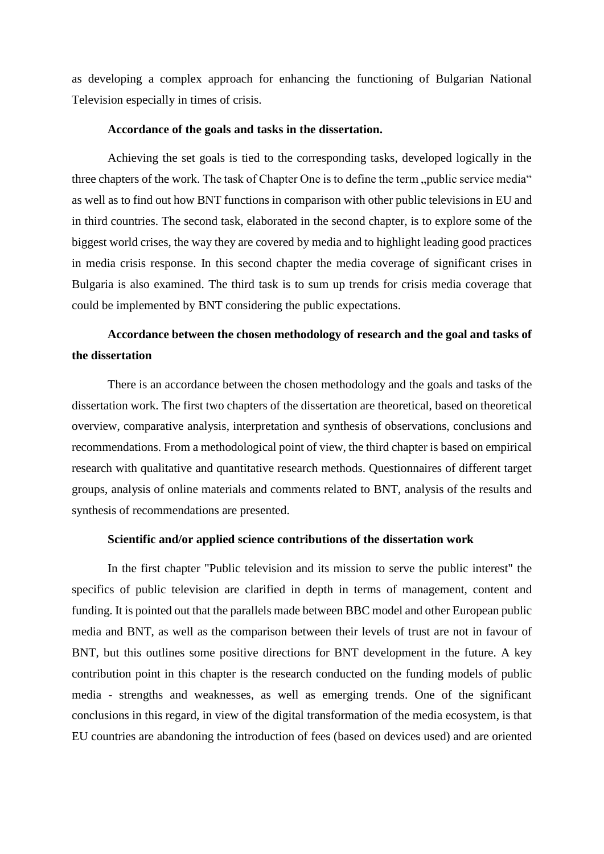as developing a complex approach for enhancing the functioning of Bulgarian National Television especially in times of crisis.

## **Accordance of the goals and tasks in the dissertation.**

Achieving the set goals is tied to the corresponding tasks, developed logically in the three chapters of the work. The task of Chapter One is to define the term, public service media" as well as to find out how BNT functions in comparison with other public televisions in EU and in third countries. The second task, elaborated in the second chapter, is to explore some of the biggest world crises, the way they are covered by media and to highlight leading good practices in media crisis response. In this second chapter the media coverage of significant crises in Bulgaria is also examined. The third task is to sum up trends for crisis media coverage that could be implemented by BNT considering the public expectations.

# **Accordance between the chosen methodology of research and the goal and tasks of the dissertation**

There is an accordance between the chosen methodology and the goals and tasks of the dissertation work. The first two chapters of the dissertation are theoretical, based on theoretical overview, comparative analysis, interpretation and synthesis of observations, conclusions and recommendations. From a methodological point of view, the third chapter is based on empirical research with qualitative and quantitative research methods. Questionnaires of different target groups, analysis of online materials and comments related to BNT, analysis of the results and synthesis of recommendations are presented.

### **Scientific and/or applied science contributions of the dissertation work**

In the first chapter "Public television and its mission to serve the public interest" the specifics of public television are clarified in depth in terms of management, content and funding. It is pointed out that the parallels made between BBC model and other European public media and BNT, as well as the comparison between their levels of trust are not in favour of BNT, but this outlines some positive directions for BNT development in the future. A key contribution point in this chapter is the research conducted on the funding models of public media - strengths and weaknesses, as well as emerging trends. One of the significant conclusions in this regard, in view of the digital transformation of the media ecosystem, is that EU countries are abandoning the introduction of fees (based on devices used) and are oriented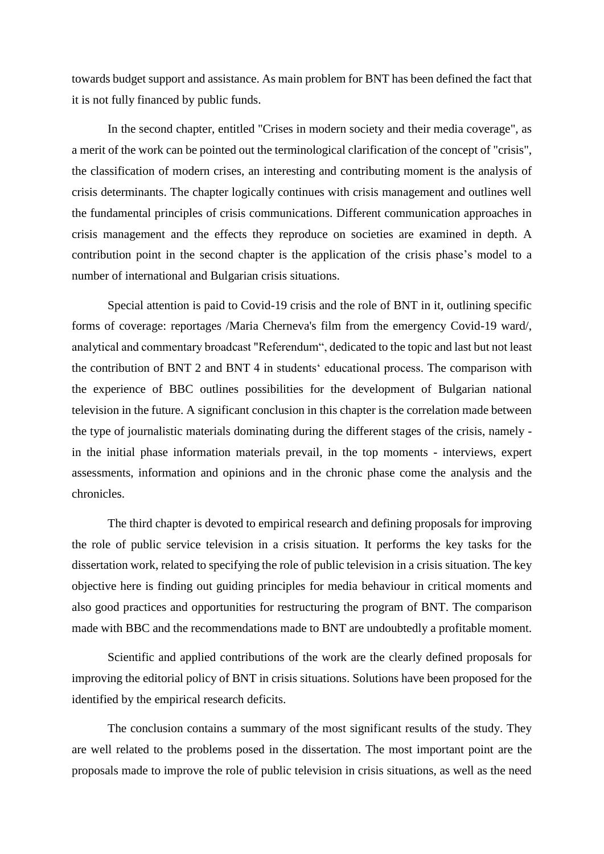towards budget support and assistance. As main problem for BNT has been defined the fact that it is not fully financed by public funds.

In the second chapter, entitled "Crises in modern society and their media coverage", as a merit of the work can be pointed out the terminological clarification of the concept of "crisis", the classification of modern crises, an interesting and contributing moment is the analysis of crisis determinants. The chapter logically continues with crisis management and outlines well the fundamental principles of crisis communications. Different communication approaches in crisis management and the effects they reproduce on societies are examined in depth. A contribution point in the second chapter is the application of the crisis phase's model to a number of international and Bulgarian crisis situations.

Special attention is paid to Covid-19 crisis and the role of BNT in it, outlining specific forms of coverage: reportages /Maria Cherneva's film from the emergency Covid-19 ward/, analytical and commentary broadcast "Referendum", dedicated to the topic and last but not least the contribution of BNT 2 and BNT 4 in students' educational process. The comparison with the experience of BBC outlines possibilities for the development of Bulgarian national television in the future. A significant conclusion in this chapter is the correlation made between the type of journalistic materials dominating during the different stages of the crisis, namely in the initial phase information materials prevail, in the top moments - interviews, expert assessments, information and opinions and in the chronic phase come the analysis and the chronicles.

The third chapter is devoted to empirical research and defining proposals for improving the role of public service television in a crisis situation. It performs the key tasks for the dissertation work, related to specifying the role of public television in a crisis situation. The key objective here is finding out guiding principles for media behaviour in critical moments and also good practices and opportunities for restructuring the program of BNT. The comparison made with BBC and the recommendations made to BNT are undoubtedly a profitable moment.

Scientific and applied contributions of the work are the clearly defined proposals for improving the editorial policy of BNT in crisis situations. Solutions have been proposed for the identified by the empirical research deficits.

The conclusion contains a summary of the most significant results of the study. They are well related to the problems posed in the dissertation. The most important point are the proposals made to improve the role of public television in crisis situations, as well as the need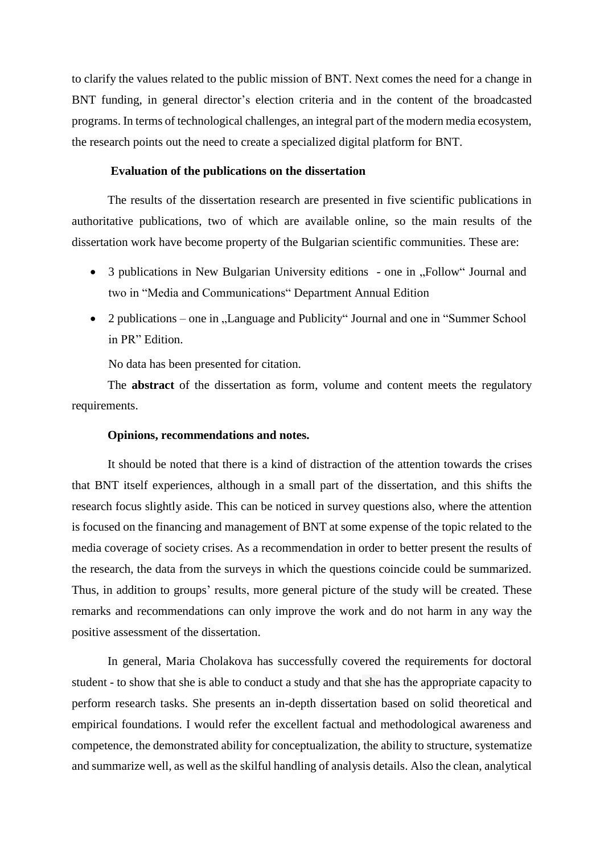to clarify the values related to the public mission of BNT. Next comes the need for a change in BNT funding, in general director's election criteria and in the content of the broadcasted programs. In terms of technological challenges, an integral part of the modern media ecosystem, the research points out the need to create a specialized digital platform for BNT.

## **Evaluation of the publications on the dissertation**

The results of the dissertation research are presented in five scientific publications in authoritative publications, two of which are available online, so the main results of the dissertation work have become property of the Bulgarian scientific communities. These are:

- 3 publications in New Bulgarian University editions one in "Follow" Journal and two in "Media and Communications" Department Annual Edition
- 2 publications one in "Language and Publicity" Journal and one in "Summer School in PR" Edition.

No data has been presented for citation.

The **abstract** of the dissertation as form, volume and content meets the regulatory requirements.

#### **Opinions, recommendations and notes.**

It should be noted that there is a kind of distraction of the attention towards the crises that BNT itself experiences, although in a small part of the dissertation, and this shifts the research focus slightly aside. This can be noticed in survey questions also, where the attention is focused on the financing and management of BNT at some expense of the topic related to the media coverage of society crises. As a recommendation in order to better present the results of the research, the data from the surveys in which the questions coincide could be summarized. Thus, in addition to groups' results, more general picture of the study will be created. These remarks and recommendations can only improve the work and do not harm in any way the positive assessment of the dissertation.

In general, Maria Cholakova has successfully covered the requirements for doctoral student - to show that she is able to conduct a study and that she has the appropriate capacity to perform research tasks. She presents an in-depth dissertation based on solid theoretical and empirical foundations. I would refer the excellent factual and methodological awareness and competence, the demonstrated ability for conceptualization, the ability to structure, systematize and summarize well, as well as the skilful handling of analysis details. Also the clean, analytical